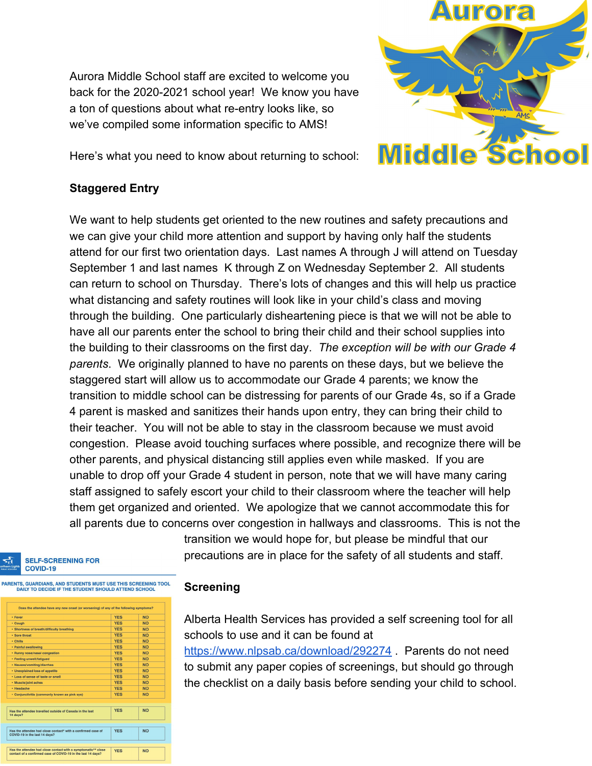Aurora Middle School staff are excited to welcome you back for the 2020-2021 school year! We know you have a ton of questions about what re-entry looks like, so we've compiled some information specific to AMS!



Here's what you need to know about returning to school:

#### **Staggered Entry**

We want to help students get oriented to the new routines and safety precautions and we can give your child more attention and support by having only half the students attend for our first two orientation days. Last names A through J will attend on Tuesday September 1 and last names K through Z on Wednesday September 2. All students can return to school on Thursday. There's lots of changes and this will help us practice what distancing and safety routines will look like in your child's class and moving through the building. One particularly disheartening piece is that we will not be able to have all our parents enter the school to bring their child and their school supplies into the building to their classrooms on the first day. *The exception will be with our Grade 4 parents*. We originally planned to have no parents on these days, but we believe the staggered start will allow us to accommodate our Grade 4 parents; we know the transition to middle school can be distressing for parents of our Grade 4s, so if a Grade 4 parent is masked and sanitizes their hands upon entry, they can bring their child to their teacher. You will not be able to stay in the classroom because we must avoid congestion. Please avoid touching surfaces where possible, and recognize there will be other parents, and physical distancing still applies even while masked. If you are unable to drop off your Grade 4 student in person, note that we will have many caring staff assigned to safely escort your child to their classroom where the teacher will help them get organized and oriented. We apologize that we cannot accommodate this for all parents due to concerns over congestion in hallways and classrooms. This is not the

> transition we would hope for, but please be mindful that our precautions are in place for the safety of all students and staff.

#### **SELF-SCREENING FOR** COVID-19

INTS GUARDIANS AND STUDENTS MUST USE THIS SCREENING TOOL DAILY TO DECIDE IF THE STUDENT SHOULD ATTEND SCHOOL

| · Fever                                                                                                                       | <b>YES</b> | NO.       |
|-------------------------------------------------------------------------------------------------------------------------------|------------|-----------|
| · Cough                                                                                                                       | <b>YES</b> | <b>NO</b> |
| · Shortness of breath/difficulty breathing                                                                                    | <b>YES</b> | <b>NO</b> |
| · Sore throat                                                                                                                 | <b>YES</b> | <b>NO</b> |
| · Chills                                                                                                                      | <b>YES</b> | <b>NO</b> |
| · Painful swallowing                                                                                                          | <b>YES</b> | <b>NO</b> |
| · Runny nose/nasal congestion                                                                                                 | <b>YES</b> | <b>NO</b> |
| · Feeling unwell/fatigued                                                                                                     | <b>YES</b> | <b>NO</b> |
| · Nausea/vomiting/diarrhea                                                                                                    | <b>YES</b> | <b>NO</b> |
| · Unexplained loss of appetite                                                                                                | <b>YES</b> | <b>NO</b> |
| . Loss of sense of taste or smell                                                                                             | <b>YES</b> | <b>NO</b> |
| • Muscle/joint aches                                                                                                          | <b>YES</b> | <b>NO</b> |
| · Headache                                                                                                                    | <b>YES</b> | <b>NO</b> |
| • Conjunctivitis (commonly known as pink eye)                                                                                 | <b>YES</b> | <b>NO</b> |
| Has the attendee travelled outside of Canada in the last<br>14 days?                                                          | <b>YES</b> | <b>NO</b> |
|                                                                                                                               |            |           |
| Has the attendee had close contact* with a confirmed case of<br>COVID-19 in the last 14 days?                                 | <b>YES</b> | <b>NO</b> |
|                                                                                                                               |            |           |
| Has the attendee had close contact with a symptomatic** close<br>contact of a confirmed case of COVID-19 in the last 14 days? | <b>YES</b> | <b>NO</b> |

#### **Screening**

Alberta Health Services has provided a self screening tool for all schools to use and it can be found at

<https://www.nlpsab.ca/download/292274> . Parents do not need to submit any paper copies of screenings, but should go through the checklist on a daily basis before sending your child to school.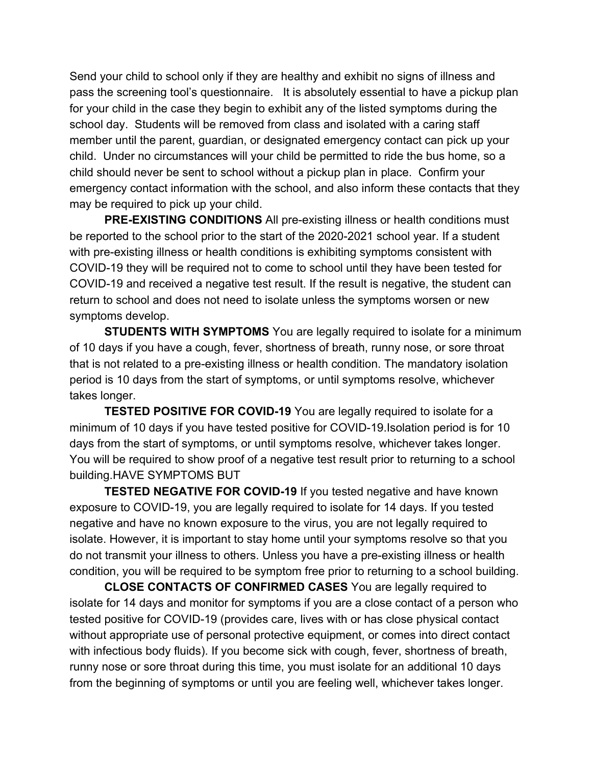Send your child to school only if they are healthy and exhibit no signs of illness and pass the screening tool's questionnaire. It is absolutely essential to have a pickup plan for your child in the case they begin to exhibit any of the listed symptoms during the school day. Students will be removed from class and isolated with a caring staff member until the parent, guardian, or designated emergency contact can pick up your child. Under no circumstances will your child be permitted to ride the bus home, so a child should never be sent to school without a pickup plan in place. Confirm your emergency contact information with the school, and also inform these contacts that they may be required to pick up your child.

**PRE-EXISTING CONDITIONS** All pre-existing illness or health conditions must be reported to the school prior to the start of the 2020-2021 school year. If a student with pre-existing illness or health conditions is exhibiting symptoms consistent with COVID-19 they will be required not to come to school until they have been tested for COVID-19 and received a negative test result. If the result is negative, the student can return to school and does not need to isolate unless the symptoms worsen or new symptoms develop.

**STUDENTS WITH SYMPTOMS** You are legally required to isolate for a minimum of 10 days if you have a cough, fever, shortness of breath, runny nose, or sore throat that is not related to a pre-existing illness or health condition. The mandatory isolation period is 10 days from the start of symptoms, or until symptoms resolve, whichever takes longer.

**TESTED POSITIVE FOR COVID-19** You are legally required to isolate for a minimum of 10 days if you have tested positive for COVID-19.Isolation period is for 10 days from the start of symptoms, or until symptoms resolve, whichever takes longer. You will be required to show proof of a negative test result prior to returning to a school building.HAVE SYMPTOMS BUT

**TESTED NEGATIVE FOR COVID-19** If you tested negative and have known exposure to COVID-19, you are legally required to isolate for 14 days. If you tested negative and have no known exposure to the virus, you are not legally required to isolate. However, it is important to stay home until your symptoms resolve so that you do not transmit your illness to others. Unless you have a pre-existing illness or health condition, you will be required to be symptom free prior to returning to a school building.

**CLOSE CONTACTS OF CONFIRMED CASES** You are legally required to isolate for 14 days and monitor for symptoms if you are a close contact of a person who tested positive for COVID-19 (provides care, lives with or has close physical contact without appropriate use of personal protective equipment, or comes into direct contact with infectious body fluids). If you become sick with cough, fever, shortness of breath, runny nose or sore throat during this time, you must isolate for an additional 10 days from the beginning of symptoms or until you are feeling well, whichever takes longer.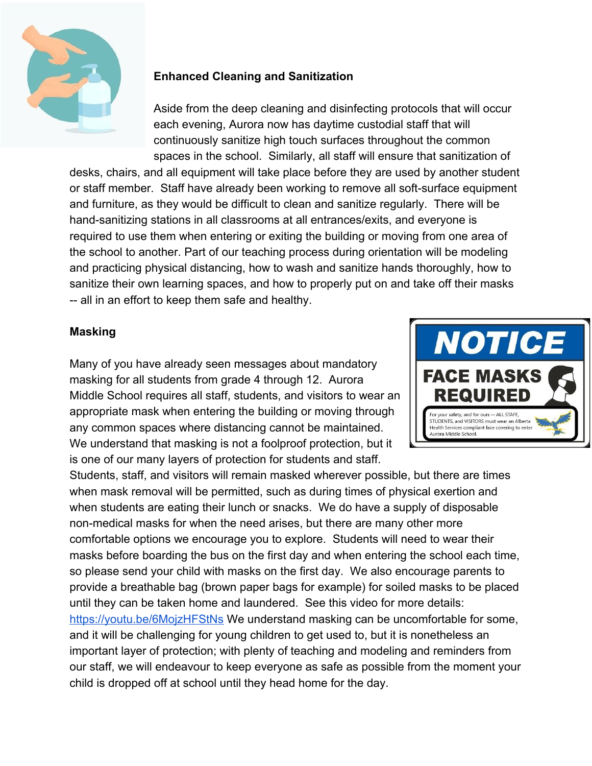

# **Enhanced Cleaning and Sanitization**

Aside from the deep cleaning and disinfecting protocols that will occur each evening, Aurora now has daytime custodial staff that will continuously sanitize high touch surfaces throughout the common spaces in the school. Similarly, all staff will ensure that sanitization of

desks, chairs, and all equipment will take place before they are used by another student or staff member. Staff have already been working to remove all soft-surface equipment and furniture, as they would be difficult to clean and sanitize regularly. There will be hand-sanitizing stations in all classrooms at all entrances/exits, and everyone is required to use them when entering or exiting the building or moving from one area of the school to another. Part of our teaching process during orientation will be modeling and practicing physical distancing, how to wash and sanitize hands thoroughly, how to sanitize their own learning spaces, and how to properly put on and take off their masks -- all in an effort to keep them safe and healthy.

## **Masking**

Many of you have already seen messages about mandatory masking for all students from grade 4 through 12. Aurora Middle School requires all staff, students, and visitors to wear an appropriate mask when entering the building or moving through any common spaces where distancing cannot be maintained. We understand that masking is not a foolproof protection, but it is one of our many layers of protection for students and staff.



Students, staff, and visitors will remain masked wherever possible, but there are times when mask removal will be permitted, such as during times of physical exertion and when students are eating their lunch or snacks. We do have a supply of disposable non-medical masks for when the need arises, but there are many other more comfortable options we encourage you to explore. Students will need to wear their masks before boarding the bus on the first day and when entering the school each time, so please send your child with masks on the first day. We also encourage parents to provide a breathable bag (brown paper bags for example) for soiled masks to be placed until they can be taken home and laundered. See this video for more details: <https://youtu.be/6MojzHFStNs>We understand masking can be uncomfortable for some, and it will be challenging for young children to get used to, but it is nonetheless an important layer of protection; with plenty of teaching and modeling and reminders from our staff, we will endeavour to keep everyone as safe as possible from the moment your child is dropped off at school until they head home for the day.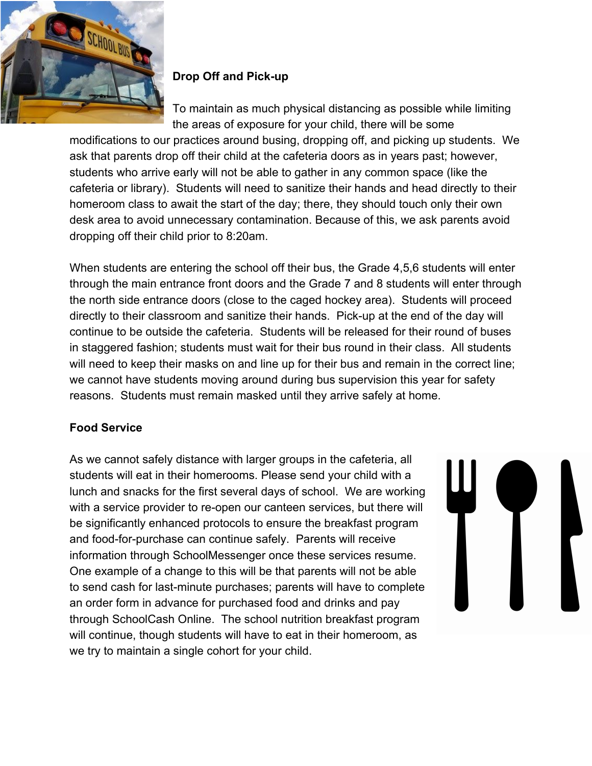

# **Drop Off and Pick-up**

To maintain as much physical distancing as possible while limiting the areas of exposure for your child, there will be some

modifications to our practices around busing, dropping off, and picking up students. We ask that parents drop off their child at the cafeteria doors as in years past; however, students who arrive early will not be able to gather in any common space (like the cafeteria or library). Students will need to sanitize their hands and head directly to their homeroom class to await the start of the day; there, they should touch only their own desk area to avoid unnecessary contamination. Because of this, we ask parents avoid dropping off their child prior to 8:20am.

When students are entering the school off their bus, the Grade 4,5,6 students will enter through the main entrance front doors and the Grade 7 and 8 students will enter through the north side entrance doors (close to the caged hockey area). Students will proceed directly to their classroom and sanitize their hands. Pick-up at the end of the day will continue to be outside the cafeteria. Students will be released for their round of buses in staggered fashion; students must wait for their bus round in their class. All students will need to keep their masks on and line up for their bus and remain in the correct line; we cannot have students moving around during bus supervision this year for safety reasons. Students must remain masked until they arrive safely at home.

# **Food Service**

As we cannot safely distance with larger groups in the cafeteria, all students will eat in their homerooms. Please send your child with a lunch and snacks for the first several days of school. We are working with a service provider to re-open our canteen services, but there will be significantly enhanced protocols to ensure the breakfast program and food-for-purchase can continue safely. Parents will receive information through SchoolMessenger once these services resume. One example of a change to this will be that parents will not be able to send cash for last-minute purchases; parents will have to complete an order form in advance for purchased food and drinks and pay through SchoolCash Online. The school nutrition breakfast program will continue, though students will have to eat in their homeroom, as we try to maintain a single cohort for your child.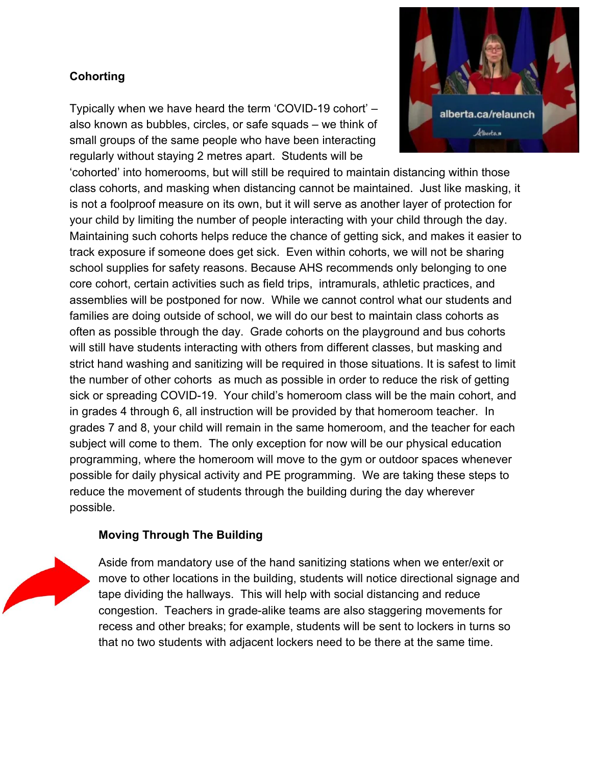## **Cohorting**

Typically when we have heard the term 'COVID-19 cohort' – also known as bubbles, circles, or safe squads – we think of small groups of the same people who have been interacting regularly without staying 2 metres apart. Students will be



'cohorted' into homerooms, but will still be required to maintain distancing within those class cohorts, and masking when distancing cannot be maintained. Just like masking, it is not a foolproof measure on its own, but it will serve as another layer of protection for your child by limiting the number of people interacting with your child through the day. Maintaining such cohorts helps reduce the chance of getting sick, and makes it easier to track exposure if someone does get sick. Even within cohorts, we will not be sharing school supplies for safety reasons. Because AHS recommends only belonging to one core cohort, certain activities such as field trips, intramurals, athletic practices, and assemblies will be postponed for now. While we cannot control what our students and families are doing outside of school, we will do our best to maintain class cohorts as often as possible through the day. Grade cohorts on the playground and bus cohorts will still have students interacting with others from different classes, but masking and strict hand washing and sanitizing will be required in those situations. It is safest to limit the number of other cohorts as much as possible in order to reduce the risk of getting sick or spreading COVID-19. Your child's homeroom class will be the main cohort, and in grades 4 through 6, all instruction will be provided by that homeroom teacher. In grades 7 and 8, your child will remain in the same homeroom, and the teacher for each subject will come to them. The only exception for now will be our physical education programming, where the homeroom will move to the gym or outdoor spaces whenever possible for daily physical activity and PE programming. We are taking these steps to reduce the movement of students through the building during the day wherever possible.

## **Moving Through The Building**



Aside from mandatory use of the hand sanitizing stations when we enter/exit or move to other locations in the building, students will notice directional signage and tape dividing the hallways. This will help with social distancing and reduce congestion. Teachers in grade-alike teams are also staggering movements for recess and other breaks; for example, students will be sent to lockers in turns so that no two students with adjacent lockers need to be there at the same time.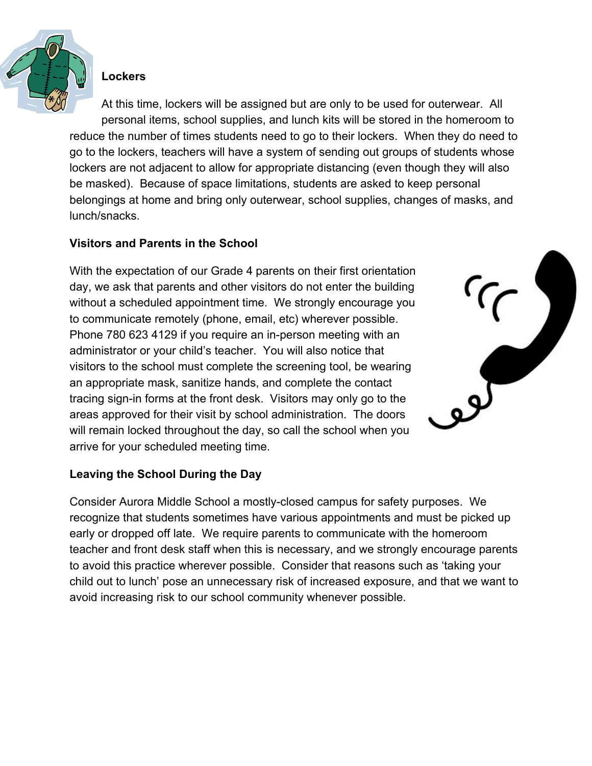

## **Lockers**

At this time, lockers will be assigned but are only to be used for outerwear. All personal items, school supplies, and lunch kits will be stored in the homeroom to reduce the number of times students need to go to their lockers. When they do need to go to the lockers, teachers will have a system of sending out groups of students whose lockers are not adjacent to allow for appropriate distancing (even though they will also be masked). Because of space limitations, students are asked to keep personal belongings at home and bring only outerwear, school supplies, changes of masks, and lunch/snacks.

#### **Visitors and Parents in the School**

With the expectation of our Grade 4 parents on their first orientation day, we ask that parents and other visitors do not enter the building without a scheduled appointment time. We strongly encourage you to communicate remotely (phone, email, etc) wherever possible. Phone 780 623 4129 if you require an in-person meeting with an administrator or your child's teacher. You will also notice that visitors to the school must complete the screening tool, be wearing an appropriate mask, sanitize hands, and complete the contact tracing sign-in forms at the front desk. Visitors may only go to the areas approved for their visit by school administration. The doors will remain locked throughout the day, so call the school when you arrive for your scheduled meeting time.



#### **Leaving the School During the Day**

Consider Aurora Middle School a mostly-closed campus for safety purposes. We recognize that students sometimes have various appointments and must be picked up early or dropped off late. We require parents to communicate with the homeroom teacher and front desk staff when this is necessary, and we strongly encourage parents to avoid this practice wherever possible. Consider that reasons such as 'taking your child out to lunch' pose an unnecessary risk of increased exposure, and that we want to avoid increasing risk to our school community whenever possible.